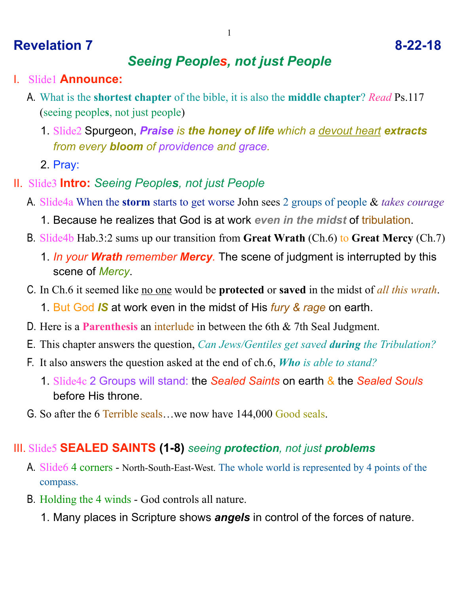# **Revelation 7 8-22-18**

#### *Seeing Peoples, not just People*

- I. Slide1 **Announce:**
	- A. What is the **shortest chapter** of the bible, it is also the **middle chapter**? *Read* Ps.117 (seeing people**s**, not just people)
		- 1. Slide2 Spurgeon, *Praise is the honey of life which a devout heart extracts from every bloom of providence and grace.*
		- 2. Pray:
- II. Slide3 **Intro:** *Seeing Peoples, not just People*
	- A. Slide4a When the **storm** starts to get worse John sees 2 groups of people & *takes courage*
		- 1. Because he realizes that God is at work *even in the midst* of tribulation.
	- B. Slide4b Hab.3:2 sums up our transition from **Great Wrath** (Ch.6) to **Great Mercy** (Ch.7)
		- 1. *In your Wrath remember Mercy.* The scene of judgment is interrupted by this scene of *Mercy*.
	- C. In Ch.6 it seemed like no one would be **protected** or **saved** in the midst of *all this wrath*.
		- 1. But God *IS* at work even in the midst of His *fury & rage* on earth.
	- D. Here is a **Parenthesis** an interlude in between the 6th & 7th Seal Judgment.
	- E. This chapter answers the question, *Can Jews/Gentiles get saved during the Tribulation?*
	- F. It also answers the question asked at the end of ch.6, *Who is able to stand?*
		- 1. Slide4c 2 Groups will stand: the *Sealed Saints* on earth & the *Sealed Souls* before His throne.
	- G. So after the 6 Terrible seals…we now have 144,000 Good seals.

# III. Slide5 **SEALED SAINTS (1-8)** *seeing protection, not just problems*

- A. Slide6 4 corners North-South-East-West. The whole world is represented by 4 points of the compass.
- B. Holding the 4 winds God controls all nature.
	- 1. Many places in Scripture shows *angels* in control of the forces of nature.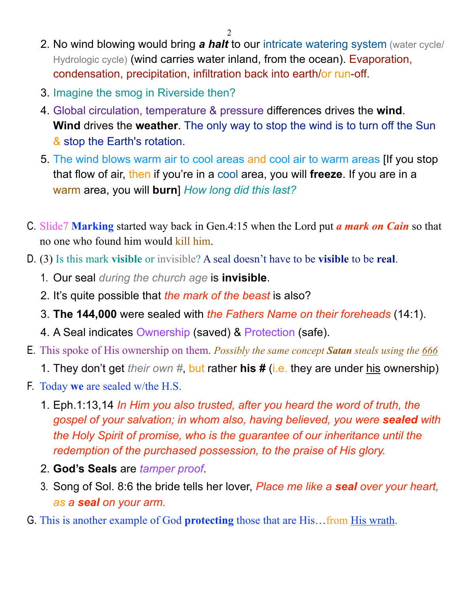- 2. No wind blowing would bring *a halt* to our intricate watering system (water cycle/ Hydrologic cycle) (wind carries water inland, from the ocean). Evaporation, condensation, precipitation, infiltration back into earth/or run-off.
- 3. Imagine the smog in Riverside then?
- 4. Global circulation, temperature & pressure differences drives the **wind**. **Wind** drives the **weather**. The only way to stop the wind is to turn off the Sun & stop the Earth's rotation.
- 5. The wind blows warm air to cool areas and cool air to warm areas [If you stop that flow of air, then if you're in a cool area, you will **freeze**. If you are in a warm area, you will **burn**] *How long did this last?*
- C. Slide7 **Marking** started way back in Gen.4:15 when the Lord put *a mark on Cain* so that no one who found him would kill him.
- D. (3) Is this mark **visible** or invisible? A seal doesn't have to be **visible** to be **real**.
	- 1. Our seal *during the church age* is **invisible**.
	- 2. It's quite possible that *the mark of the beast* is also?
	- 3. **The 144,000** were sealed with *the Fathers Name on their foreheads* (14:1).
	- 4. A Seal indicates Ownership (saved) & Protection (safe).
- E. This spoke of His ownership on them. *Possibly the same concept Satan steals using the 666*
	- 1. They don't get *their own #*, but rather **his #** (i.e. they are under his ownership)
- F. Today **we** are sealed w/the H.S.
	- 1. Eph.1:13,14 *In Him you also trusted, after you heard the word of truth, the gospel of your salvation; in whom also, having believed, you were sealed with the Holy Spirit of promise, who is the guarantee of our inheritance until the redemption of the purchased possession, to the praise of His glory.*
	- 2. **God's Seals** are *tamper proof*.
	- 3. Song of Sol. 8:6 the bride tells her lover, *Place me like a seal over your heart, as a seal on your arm.*
- G. This is another example of God **protecting** those that are His…from His wrath.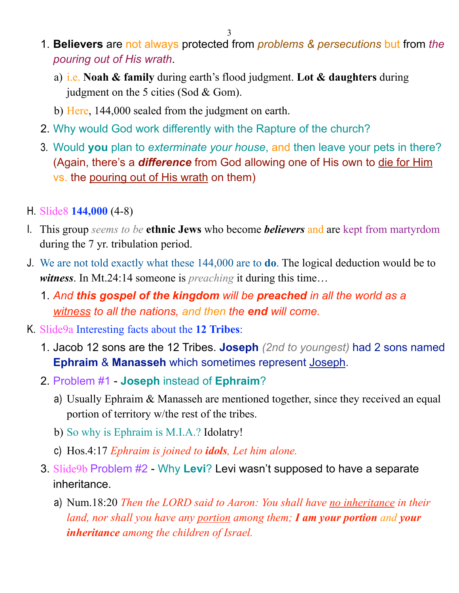- 1. **Believers** are not always protected from *problems & persecutions* but from *the pouring out of His wrath*.
	- a) i.e. **Noah & family** during earth's flood judgment. **Lot & daughters** during judgment on the 5 cities (Sod & Gom).
	- b) Here, 144,000 sealed from the judgment on earth.
- 2. Why would God work differently with the Rapture of the church?
- 3. Would **you** plan to *exterminate your house*, and then leave your pets in there? (Again, there's a *difference* from God allowing one of His own to die for Him vs. the pouring out of His wrath on them)
- H. Slide8 **144,000** (4-8)
- I. This group *seems to be* **ethnic Jews** who become *believers* and are kept from martyrdom during the 7 yr. tribulation period.
- J. We are not told exactly what these 144,000 are to **do**. The logical deduction would be to *witness*. In Mt.24:14 someone is *preaching* it during this time…
	- 1. *And this gospel of the kingdom will be preached in all the world as a witness to all the nations, and then the end will come.*
- K. Slide9a Interesting facts about the **12 Tribes**:
	- 1. Jacob 12 sons are the 12 Tribes. **Joseph** *(2nd to youngest)* had 2 sons named **Ephraim** & **Manasseh** which sometimes represent Joseph.
	- 2. Problem #1 **Joseph** instead of **Ephraim**?
		- a) Usually Ephraim & Manasseh are mentioned together, since they received an equal portion of territory w/the rest of the tribes.
		- b) So why is Ephraim is M.I.A.? Idolatry!
		- c) Hos.4:17 *Ephraim is joined to idols, Let him alone.*
	- 3. Slide9b Problem #2 Why **Levi**? Levi wasn't supposed to have a separate inheritance.
		- a) Num.18:20 *Then the LORD said to Aaron: You shall have no inheritance in their land, nor shall you have any portion among them; I am your portion and your inheritance among the children of Israel.*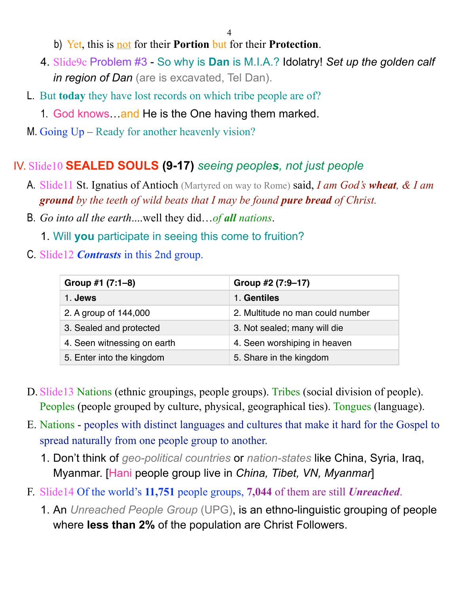b) Yet, this is not for their **Portion** but for their **Protection**.

- 4. Slide9c Problem #3 So why is **Dan** is M.I.A.? Idolatry! *Set up the golden calf in region of Dan* (are is excavated, Tel Dan).
- L. But **today** they have lost records on which tribe people are of?
	- 1. God knows and He is the One having them marked.
- M. Going Up Ready for another heavenly vision?

### IV. Slide10 **SEALED SOULS (9-17)** *seeing peoples, not just people*

- A. Slide11 St. Ignatius of Antioch (Martyred on way to Rome) said, *I am God's wheat, & I am ground by the teeth of wild beats that I may be found pure bread of Christ.*
- B. *Go into all the earth*....well they did…*of all nations*.
	- 1. Will **you** participate in seeing this come to fruition?
- C. Slide12 *Contrasts* in this 2nd group.

| Group #1 (7:1-8)            | Group #2 (7:9–17)                |
|-----------------------------|----------------------------------|
| 1. Jews                     | 1. Gentiles                      |
| 2. A group of 144,000       | 2. Multitude no man could number |
| 3. Sealed and protected     | 3. Not sealed; many will die     |
| 4. Seen witnessing on earth | 4. Seen worshiping in heaven     |
| 5. Enter into the kingdom   | 5. Share in the kingdom          |

- D. Slide13 Nations (ethnic groupings, people groups). Tribes (social division of people). Peoples (people grouped by culture, physical, geographical ties). Tongues (language).
- E. Nations peoples with distinct languages and cultures that make it hard for the Gospel to spread naturally from one people group to another.
	- 1. Don't think of *geo-political countries* or *nation-states* like China, Syria, Iraq, Myanmar. [Hani people group live in *China, Tibet, VN, Myanmar*]
- F. Slide14 Of the world's **11,751** people groups, **7,044** of them are still *Unreached*.
	- 1. An *Unreached People Group* (UPG), is an ethno-linguistic grouping of people where **less than 2%** of the population are Christ Followers.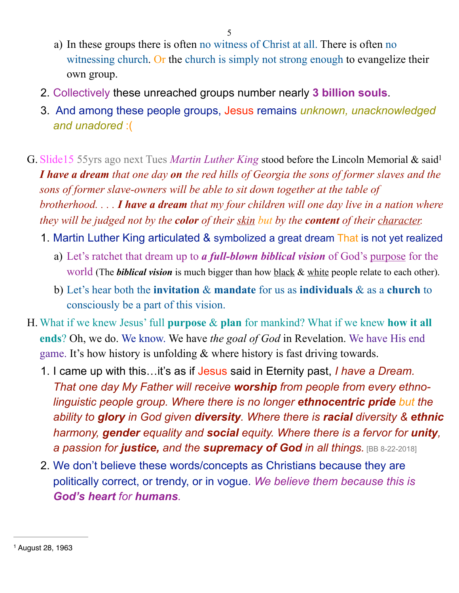- a) In these groups there is often no witness of Christ at all. There is often no witnessing church. Or the church is simply not strong enough to evangelize their own group.
- 2. Collectively these unreached groups number nearly **3 billion souls**.
- <span id="page-4-1"></span>3. And among these people groups, Jesus remains *unknown, unacknowledged and unadored* :(
- G. Slide15 55yrs ago next Tues *Martin Luther King* stood before the Lincoln Memorial & sai[d1](#page-4-0) *I have a dream that one day on the red hills of Georgia the sons of former slaves and the sons of former slave-owners will be able to sit down together at the table of brotherhood. . . . I have a dream that my four children will one day live in a nation where they will be judged not by the color of their skin but by the content of their character.*
	- 1. Martin Luther King articulated & symbolized a great dream That is not yet realized
		- a) Let's ratchet that dream up to *a full-blown biblical vision* of God's purpose for the world (The **biblical vision** is much bigger than how **black & white people relate to each other**).
		- b) Let's hear both the **invitation** & **mandate** for us as **individuals** & as a **church** to consciously be a part of this vision.
- H. What if we knew Jesus' full **purpose** & **plan** for mankind? What if we knew **how it all ends**? Oh, we do. We know. We have *the goal of God* in Revelation. We have His end game. It's how history is unfolding & where history is fast driving towards.
	- 1. I came up with this…it's as if Jesus said in Eternity past, *I have a Dream. That one day My Father will receive worship from people from every ethnolinguistic people group. Where there is no longer ethnocentric pride but the ability to glory in God given diversity. Where there is racial diversity & ethnic harmony, gender equality and social equity. Where there is a fervor for unity, a passion for justice, and the supremacy of God in all things.* [BB 8-22-2018]
	- 2. We don't believe these words/concepts as Christians because they are politically correct, or trendy, or in vogue. *We believe them because this is God's heart for humans.*

<span id="page-4-0"></span><sup>&</sup>lt;sup>[1](#page-4-1)</sup> August 28, 1963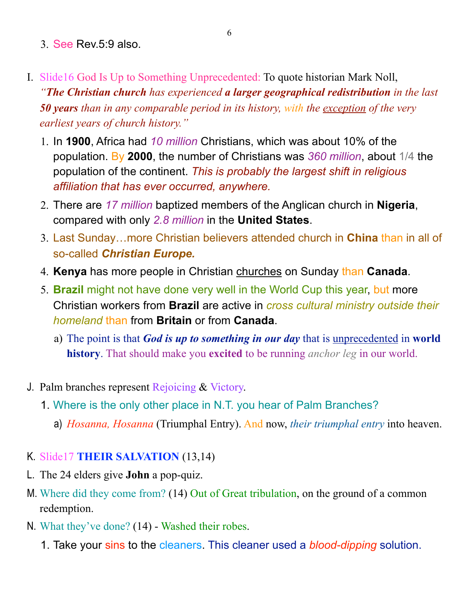- 3. See Rev.5:9 also.
- I. Slide16 God Is Up to Something Unprecedented: To quote historian Mark Noll, *"The Christian church has experienced a larger geographical redistribution in the last 50 years than in any comparable period in its history, with the exception of the very earliest years of church history."*
	- 1. In **1900**, Africa had *10 million* Christians, which was about 10% of the population. By **2000**, the number of Christians was *360 million*, about 1/4 the population of the continent. *This is probably the largest shift in religious affiliation that has ever occurred, anywhere.*
	- 2. There are *17 million* baptized members of the Anglican church in **Nigeria**, compared with only *2.8 million* in the **United States**.
	- 3. Last Sunday…more Christian believers attended church in **China** than in all of so-called *Christian Europe.*
	- 4. **Kenya** has more people in Christian churches on Sunday than **Canada**.
	- 5. **Brazil** might not have done very well in the World Cup this year, but more Christian workers from **Brazil** are active in *cross cultural ministry outside their homeland* than from **Britain** or from **Canada**.
		- a) The point is that *God is up to something in our day* that is unprecedented in **world history**. That should make you **excited** to be running *anchor leg* in our world.
- J. Palm branches represent Rejoicing & Victory.
	- 1. Where is the only other place in N.T. you hear of Palm Branches?
		- a) *Hosanna, Hosanna* (Triumphal Entry). And now, *their triumphal entry* into heaven.

#### K. Slide17 **THEIR SALVATION** (13,14)

- L. The 24 elders give **John** a pop-quiz.
- M. Where did they come from? (14) Out of Great tribulation, on the ground of a common redemption.
- N. What they've done? (14) Washed their robes.
	- 1. Take your sins to the cleaners. This cleaner used a *blood-dipping* solution.